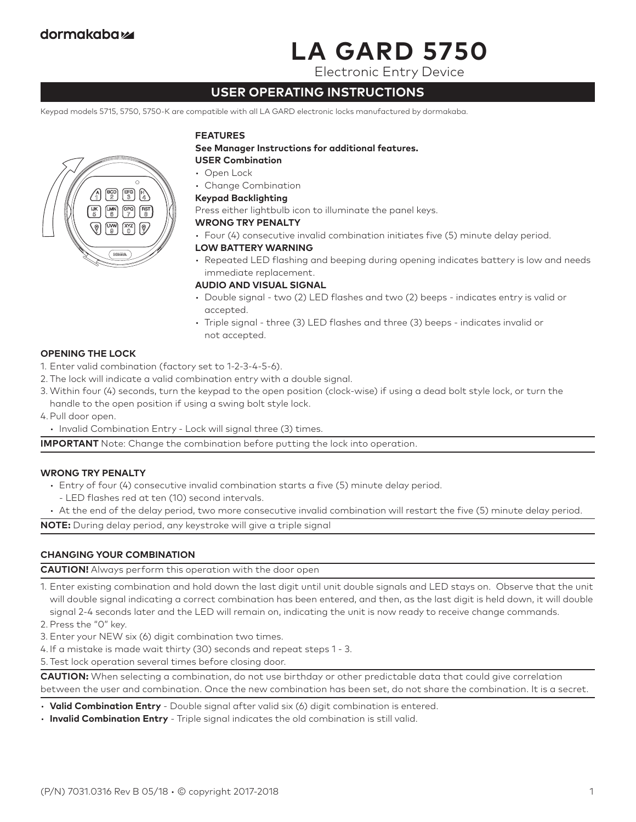# **LA GARD 5750**

Electronic Entry Device

# **USER OPERATING INSTRUCTIONS**

Keypad models 5715, 5750, 5750-K are compatible with all LA GARD electronic locks manufactured by dormakaba.



#### **FEATURES**

**See Manager Instructions for additional features. USER Combination**

- Open Lock
- Change Combination

# **Keypad Backlighting**

Press either lightbulb icon to illuminate the panel keys.

#### **WRONG TRY PENALTY**

• Four (4) consecutive invalid combination initiates five (5) minute delay period.

#### **LOW BATTERY WARNING**

• Repeated LED flashing and beeping during opening indicates battery is low and needs immediate replacement.

#### **AUDIO AND VISUAL SIGNAL**

- Double signal two (2) LED flashes and two (2) beeps indicates entry is valid or accepted.
- Triple signal three (3) LED flashes and three (3) beeps indicates invalid or not accepted.

# **OPENING THE LOCK**

- 1. Enter valid combination (factory set to 1-2-3-4-5-6).
- 2. The lock will indicate a valid combination entry with a double signal.
- 3. Within four (4) seconds, turn the keypad to the open position (clock-wise) if using a dead bolt style lock, or turn the handle to the open position if using a swing bolt style lock.
- 4.Pull door open.
	- Invalid Combination Entry Lock will signal three (3) times.

**IMPORTANT** Note: Change the combination before putting the lock into operation.

# **WRONG TRY PENALTY**

- Entry of four (4) consecutive invalid combination starts a five (5) minute delay period.
	- LED flashes red at ten (10) second intervals.
- At the end of the delay period, two more consecutive invalid combination will restart the five (5) minute delay period.

**NOTE:** During delay period, any keystroke will give a triple signal

# **CHANGING YOUR COMBINATION**

**CAUTION!** Always perform this operation with the door open

1. Enter existing combination and hold down the last digit until unit double signals and LED stays on. Observe that the unit will double signal indicating a correct combination has been entered, and then, as the last digit is held down, it will double signal 2-4 seconds later and the LED will remain on, indicating the unit is now ready to receive change commands.

2. Press the "0" key.

3. Enter your NEW six (6) digit combination two times.

4. If a mistake is made wait thirty (30) seconds and repeat steps 1 - 3.

5. Test lock operation several times before closing door.

**CAUTION:** When selecting a combination, do not use birthday or other predictable data that could give correlation between the user and combination. Once the new combination has been set, do not share the combination. It is a secret.

- **Valid Combination Entry** Double signal after valid six (6) digit combination is entered.
- **Invalid Combination Entry** Triple signal indicates the old combination is still valid.